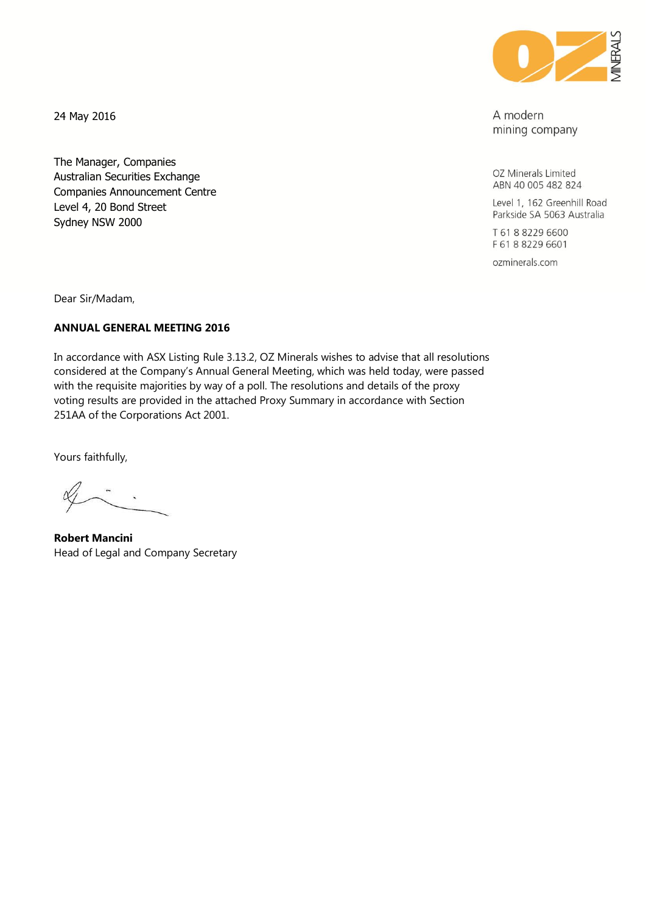

A modern mining company

OZ Minerals Limited ABN 40 005 482 824

Level 1, 162 Greenhill Road Parkside SA 5063 Australia

T 61 8 8229 6600 F 61 8 8229 6601

ozminerals.com

24 May 2016

The Manager, Companies Australian Securities Exchange Companies Announcement Centre Level 4, 20 Bond Street Sydney NSW 2000

Dear Sir/Madam,

## **ANNUAL GENERAL MEETING 2016**

In accordance with ASX Listing Rule 3.13.2, OZ Minerals wishes to advise that all resolutions considered at the Company's Annual General Meeting, which was held today, were passed with the requisite majorities by way of a poll. The resolutions and details of the proxy voting results are provided in the attached Proxy Summary in accordance with Section 251AA of the Corporations Act 2001.

Yours faithfully,

**Robert Mancini** Head of Legal and Company Secretary